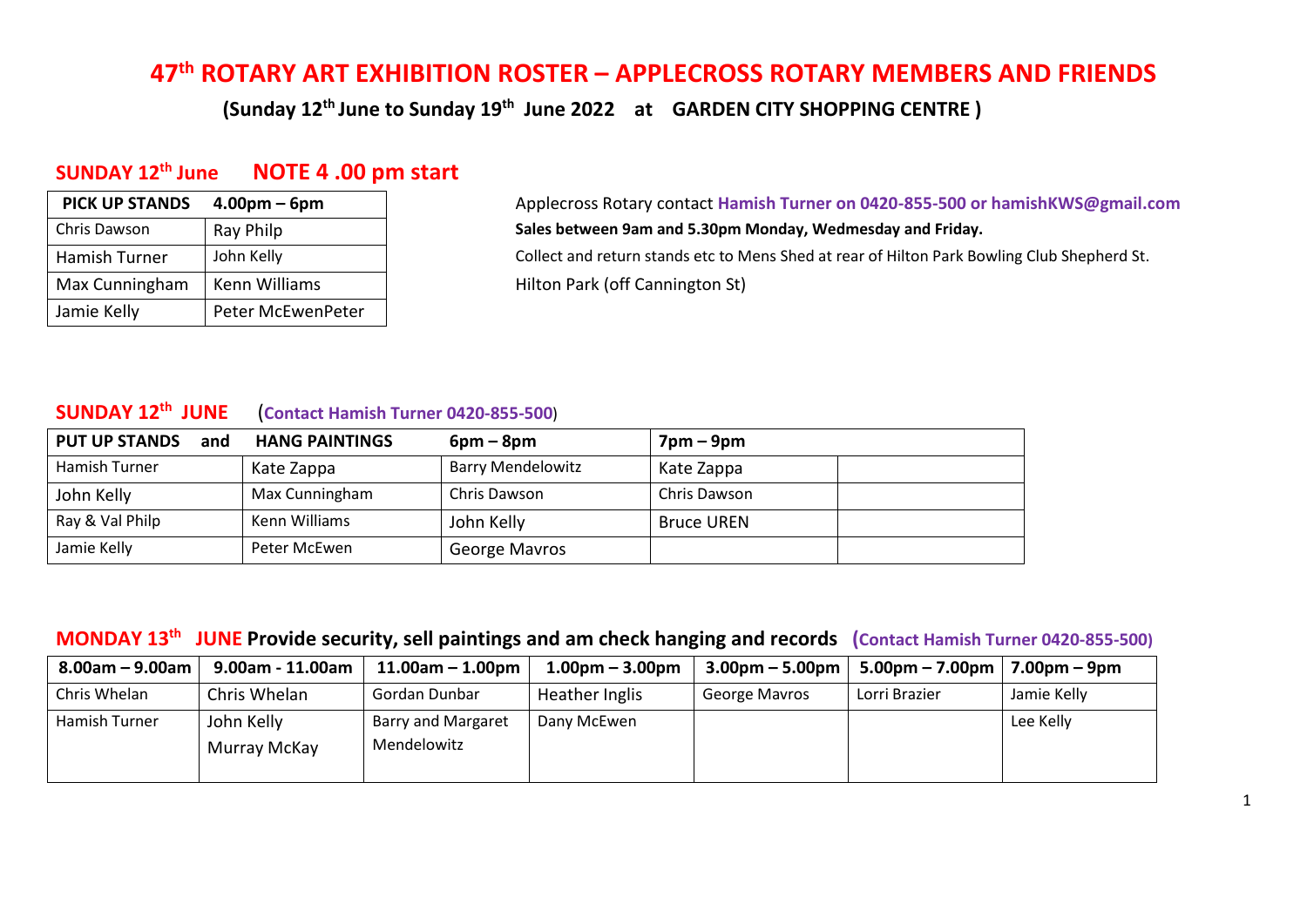# **47th ROTARY ART EXHIBITION ROSTER – APPLECROSS ROTARY MEMBERS AND FRIENDS**

 **(Sunday 12 th June to Sunday 19th June 2022 at GARDEN CITY SHOPPING CENTRE )** 

### **SUNDAY 12 th June NOTE 4 .00 pm start**

| <b>PICK UP STANDS</b> | $4.00pm - 6pm$    |
|-----------------------|-------------------|
| Chris Dawson          | Ray Philp         |
| Hamish Turner         | John Kelly        |
| Max Cunningham        | Kenn Williams     |
| Jamie Kelly           | Peter McEwenPeter |

**PICK UP STANDS 4.00pm – 6pm** Applecross Rotary contact **Hamish Turner on 0420-855-500 or hamishKWS@gmail.com** Sales between 9am and 5.30pm Monday, Wedmesday and Friday. Collect and return stands etc to Mens Shed at rear of Hilton Park Bowling Club Shepherd St. Hilton Park (off Cannington St)

### **SUNDAY 12 th JUNE** (**Contact Hamish Turner 0420-855-500**)

| <b>PUT UP STANDS</b><br>and | <b>HANG PAINTINGS</b> | $6pm - 8pm$              | $7$ pm – $9$ pm   |
|-----------------------------|-----------------------|--------------------------|-------------------|
| Hamish Turner               | Kate Zappa            | <b>Barry Mendelowitz</b> | Kate Zappa        |
| John Kelly                  | Max Cunningham        | Chris Dawson             | Chris Dawson      |
| Ray & Val Philp             | Kenn Williams         | John Kelly               | <b>Bruce UREN</b> |
| Jamie Kelly                 | Peter McEwen          | George Mavros            |                   |

### **MONDAY 13th JUNE Provide security, sell paintings and am check hanging and records (Contact Hamish Turner 0420-855-500)**

| $8.00$ am – $9.00$ am | 9.00am - 11.00am           | $11.00$ am – $1.00$ pm                   | $1.00pm - 3.00pm$ | $3.00pm - 5.00pm$ | $5.00 \text{pm} - 7.00 \text{pm}$ | 7.00pm – 9pm |
|-----------------------|----------------------------|------------------------------------------|-------------------|-------------------|-----------------------------------|--------------|
| Chris Whelan          | Chris Whelan               | Gordan Dunbar                            | Heather Inglis    | George Mavros     | Lorri Brazier                     | Jamie Kelly  |
| Hamish Turner         | John Kelly<br>Murray McKay | <b>Barry and Margaret</b><br>Mendelowitz | Dany McEwen       |                   |                                   | Lee Kelly    |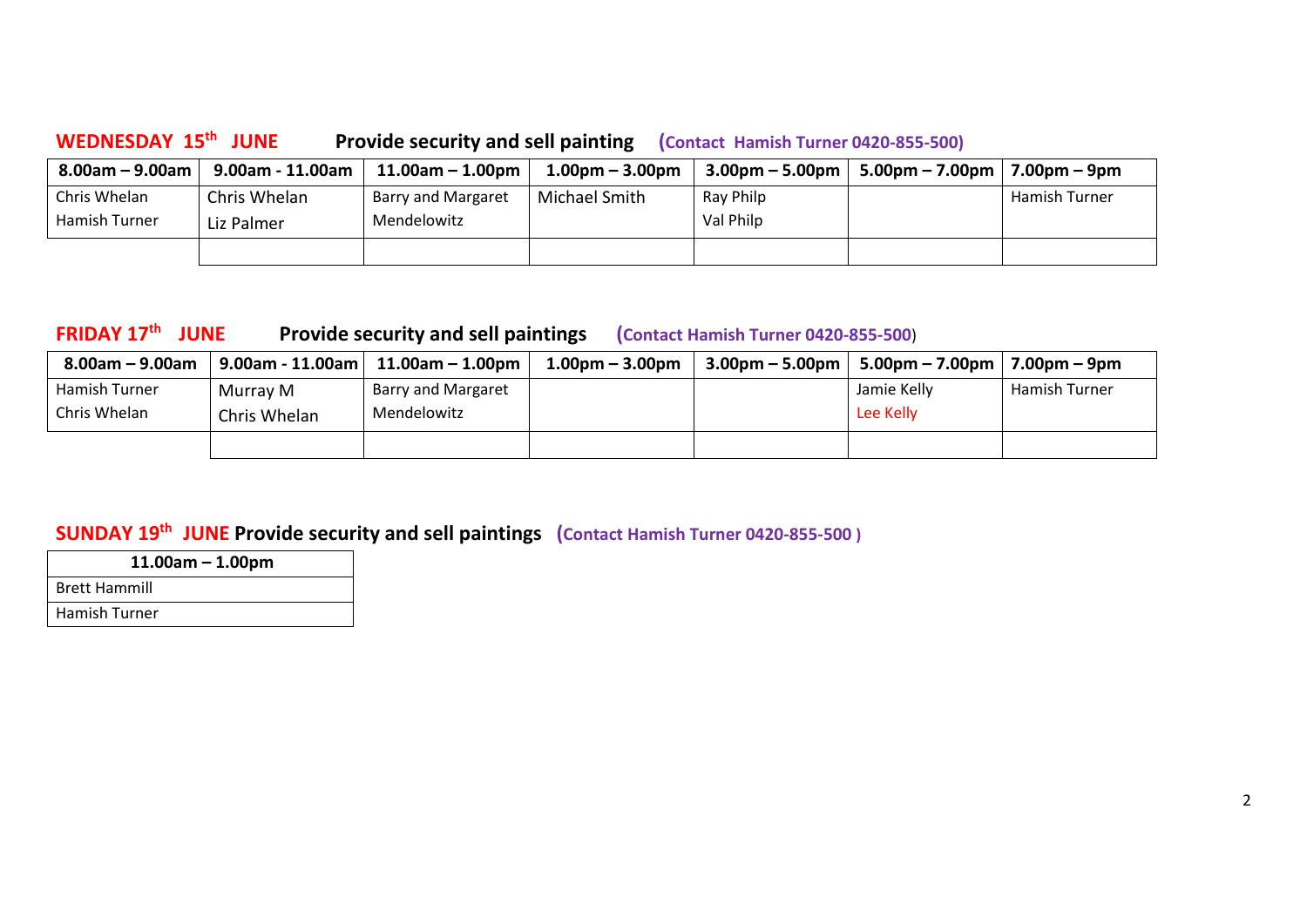**WEDNESDAY 15th JUNE Provide security and sell painting (Contact Hamish Turner 0420-855-500)**

| $8.00$ am – $9.00$ am | 9.00am - 11.00am | $11.00$ am – $1.00$ pm | $1.00pm - 3.00pm$ | $3.00 \text{pm} - 5.00 \text{pm}$ | $5.00 \text{pm} - 7.00 \text{pm}$   7.00pm – 9pm |               |
|-----------------------|------------------|------------------------|-------------------|-----------------------------------|--------------------------------------------------|---------------|
| Chris Whelan          | Chris Whelan     | Barry and Margaret     | Michael Smith     | Ray Philp                         |                                                  | Hamish Turner |
| Hamish Turner         | Liz Palmer       | Mendelowitz            |                   | Val Philp                         |                                                  |               |
|                       |                  |                        |                   |                                   |                                                  |               |

## **FRIDAY 17th JUNE Provide security and sell paintings (Contact Hamish Turner 0420-855-500**)

| $8.00$ am – $9.00$ am | $9.00$ am - 11.00am $ $ | $11.00$ am – $1.00$ pm | $1.00pm - 3.00pm$ | $3.00 \text{pm} - 5.00 \text{pm}$ | 5.00pm – 7.00pm | $7.00pm - 9pm$ |
|-----------------------|-------------------------|------------------------|-------------------|-----------------------------------|-----------------|----------------|
| Hamish Turner         | Murrav M                | Barry and Margaret     |                   |                                   | Jamie Kelly     | Hamish Turner  |
| Chris Whelan          | Chris Whelan            | Mendelowitz            |                   |                                   | Lee Kelly       |                |
|                       |                         |                        |                   |                                   |                 |                |

# **SUNDAY 19th JUNE Provide security and sell paintings (Contact Hamish Turner 0420-855-500 )**

| $11.00am - 1.00pm$   |
|----------------------|
| <b>Brett Hammill</b> |
| <b>Hamish Turner</b> |